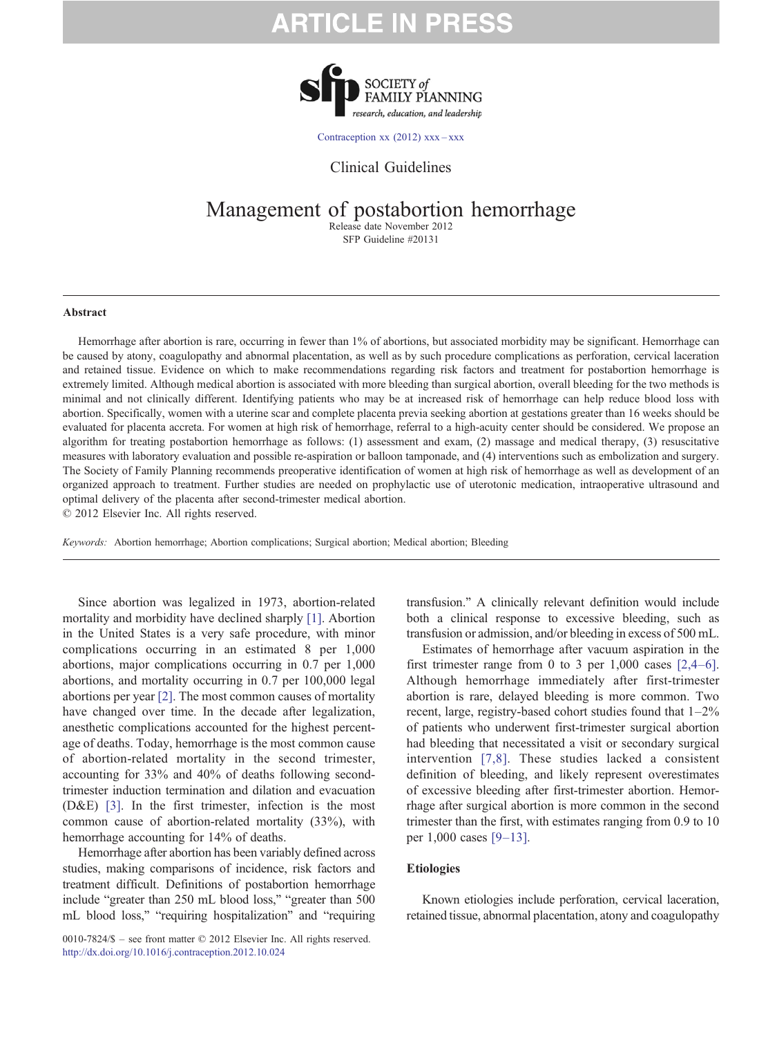

[Contraception xx \(2012\) xxx](http://dx.doi.org/10.1016/j.contraception.2012.10.024)–xxx

Clinical Guidelines

# Management of postabortion hemorrhage

SFP Guideline #20131

### Abstract

Hemorrhage after abortion is rare, occurring in fewer than 1% of abortions, but associated morbidity may be significant. Hemorrhage can be caused by atony, coagulopathy and abnormal placentation, as well as by such procedure complications as perforation, cervical laceration and retained tissue. Evidence on which to make recommendations regarding risk factors and treatment for postabortion hemorrhage is extremely limited. Although medical abortion is associated with more bleeding than surgical abortion, overall bleeding for the two methods is minimal and not clinically different. Identifying patients who may be at increased risk of hemorrhage can help reduce blood loss with abortion. Specifically, women with a uterine scar and complete placenta previa seeking abortion at gestations greater than 16 weeks should be evaluated for placenta accreta. For women at high risk of hemorrhage, referral to a high-acuity center should be considered. We propose an algorithm for treating postabortion hemorrhage as follows: (1) assessment and exam, (2) massage and medical therapy, (3) resuscitative measures with laboratory evaluation and possible re-aspiration or balloon tamponade, and (4) interventions such as embolization and surgery. The Society of Family Planning recommends preoperative identification of women at high risk of hemorrhage as well as development of an organized approach to treatment. Further studies are needed on prophylactic use of uterotonic medication, intraoperative ultrasound and optimal delivery of the placenta after second-trimester medical abortion.

© 2012 Elsevier Inc. All rights reserved.

Keywords: Abortion hemorrhage; Abortion complications; Surgical abortion; Medical abortion; Bleeding

Since abortion was legalized in 1973, abortion-related mortality and morbidity have declined sharply [\[1\].](#page-9-0) Abortion in the United States is a very safe procedure, with minor complications occurring in an estimated 8 per 1,000 abortions, major complications occurring in 0.7 per 1,000 abortions, and mortality occurring in 0.7 per 100,000 legal abortions per year [\[2\]](#page-9-0). The most common causes of mortality have changed over time. In the decade after legalization, anesthetic complications accounted for the highest percentage of deaths. Today, hemorrhage is the most common cause of abortion-related mortality in the second trimester, accounting for 33% and 40% of deaths following secondtrimester induction termination and dilation and evacuation (D&E) [\[3\]](#page-9-0). In the first trimester, infection is the most common cause of abortion-related mortality (33%), with hemorrhage accounting for 14% of deaths.

Hemorrhage after abortion has been variably defined across studies, making comparisons of incidence, risk factors and treatment difficult. Definitions of postabortion hemorrhage include "greater than 250 mL blood loss," "greater than 500 mL blood loss," "requiring hospitalization" and "requiring

0010-7824/\$ – see front matter © 2012 Elsevier Inc. All rights reserved. <http://dx.doi.org/10.1016/j.contraception.2012.10.024>

transfusion." A clinically relevant definition would include both a clinical response to excessive bleeding, such as transfusion or admission, and/or bleeding in excess of 500 mL.

Estimates of hemorrhage after vacuum aspiration in the first trimester range from 0 to 3 per  $1,000$  cases  $[2,4-6]$  $[2,4-6]$ . Although hemorrhage immediately after first-trimester abortion is rare, delayed bleeding is more common. Two recent, large, registry-based cohort studies found that 1–2% of patients who underwent first-trimester surgical abortion had bleeding that necessitated a visit or secondary surgical intervention [\[7,8\].](#page-9-0) These studies lacked a consistent definition of bleeding, and likely represent overestimates of excessive bleeding after first-trimester abortion. Hemorrhage after surgical abortion is more common in the second trimester than the first, with estimates ranging from 0.9 to 10 per 1,000 cases [9–[13\].](#page-9-0)

#### Etiologies

Known etiologies include perforation, cervical laceration, retained tissue, abnormal placentation, atony and coagulopathy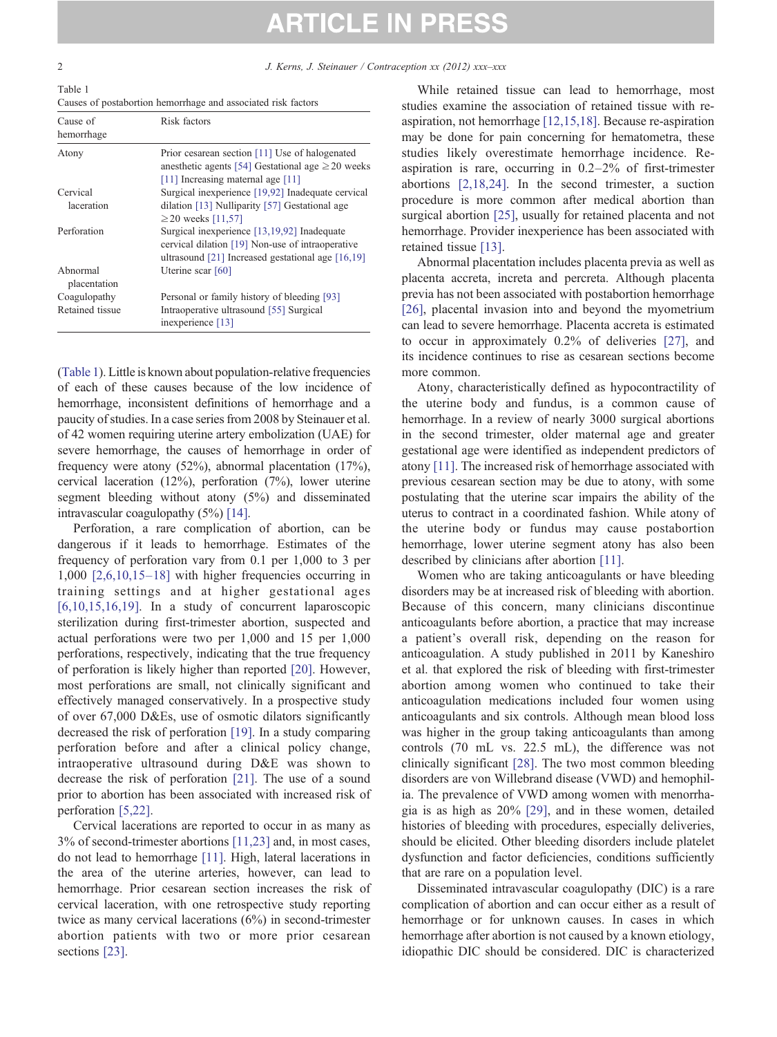2 J. Kerns, J. Steinauer / Contraception xx (2012) xxx–xxx

Table 1

|  |  | Causes of postabortion hemorrhage and associated risk factors |
|--|--|---------------------------------------------------------------|
|--|--|---------------------------------------------------------------|

| Cause of<br>hemorrhage   | Risk factors                                                                                                                                             |
|--------------------------|----------------------------------------------------------------------------------------------------------------------------------------------------------|
| Atony                    | Prior cesarean section [11] Use of halogenated<br>anesthetic agents [54] Gestational age $\geq$ 20 weeks<br>[11] Increasing maternal age [11]            |
| Cervical<br>laceration   | Surgical inexperience [19,92] Inadequate cervical<br>dilation [13] Nulliparity [57] Gestational age<br>≥20 weeks [11,57]                                 |
| Perforation              | Surgical inexperience [13,19,92] Inadequate<br>cervical dilation [19] Non-use of intraoperative<br>ultrasound $[21]$ Increased gestational age $[16,19]$ |
| Abnormal<br>placentation | Uterine scar [60]                                                                                                                                        |
| Coagulopathy             | Personal or family history of bleeding [93]                                                                                                              |
| Retained tissue          | Intraoperative ultrasound [55] Surgical<br>inexperience [13]                                                                                             |

(Table 1). Little is known about population-relative frequencies of each of these causes because of the low incidence of hemorrhage, inconsistent definitions of hemorrhage and a paucity of studies. In a case series from 2008 by Steinauer et al. of 42 women requiring uterine artery embolization (UAE) for severe hemorrhage, the causes of hemorrhage in order of frequency were atony (52%), abnormal placentation (17%), cervical laceration (12%), perforation (7%), lower uterine segment bleeding without atony (5%) and disseminated intravascular coagulopathy (5%) [\[14\]](#page-9-0).

Perforation, a rare complication of abortion, can be dangerous if it leads to hemorrhage. Estimates of the frequency of perforation vary from 0.1 per 1,000 to 3 per  $1,000$   $[2,6,10,15-18]$  $[2,6,10,15-18]$  with higher frequencies occurring in training settings and at higher gestational ages [\[6,10,15,16,19\]](#page-9-0). In a study of concurrent laparoscopic sterilization during first-trimester abortion, suspected and actual perforations were two per 1,000 and 15 per 1,000 perforations, respectively, indicating that the true frequency of perforation is likely higher than reported [\[20\].](#page-9-0) However, most perforations are small, not clinically significant and effectively managed conservatively. In a prospective study of over 67,000 D&Es, use of osmotic dilators significantly decreased the risk of perforation [\[19\].](#page-9-0) In a study comparing perforation before and after a clinical policy change, intraoperative ultrasound during D&E was shown to decrease the risk of perforation [\[21\]](#page-9-0). The use of a sound prior to abortion has been associated with increased risk of perforation [\[5,22\].](#page-9-0)

Cervical lacerations are reported to occur in as many as 3% of second-trimester abortions [\[11,23\]](#page-9-0) and, in most cases, do not lead to hemorrhage [\[11\].](#page-9-0) High, lateral lacerations in the area of the uterine arteries, however, can lead to hemorrhage. Prior cesarean section increases the risk of cervical laceration, with one retrospective study reporting twice as many cervical lacerations (6%) in second-trimester abortion patients with two or more prior cesarean sections [\[23\]](#page-9-0).

While retained tissue can lead to hemorrhage, most studies examine the association of retained tissue with reaspiration, not hemorrhage [\[12,15,18\]](#page-9-0). Because re-aspiration may be done for pain concerning for hematometra, these studies likely overestimate hemorrhage incidence. Reaspiration is rare, occurring in 0.2–2% of first-trimester abortions [\[2,18,24\].](#page-9-0) In the second trimester, a suction procedure is more common after medical abortion than surgical abortion [\[25\],](#page-9-0) usually for retained placenta and not hemorrhage. Provider inexperience has been associated with retained tissue [\[13\].](#page-9-0)

Abnormal placentation includes placenta previa as well as placenta accreta, increta and percreta. Although placenta previa has not been associated with postabortion hemorrhage [\[26\]](#page-9-0), placental invasion into and beyond the myometrium can lead to severe hemorrhage. Placenta accreta is estimated to occur in approximately 0.2% of deliveries [\[27\],](#page-9-0) and its incidence continues to rise as cesarean sections become more common.

Atony, characteristically defined as hypocontractility of the uterine body and fundus, is a common cause of hemorrhage. In a review of nearly 3000 surgical abortions in the second trimester, older maternal age and greater gestational age were identified as independent predictors of atony [\[11\].](#page-9-0) The increased risk of hemorrhage associated with previous cesarean section may be due to atony, with some postulating that the uterine scar impairs the ability of the uterus to contract in a coordinated fashion. While atony of the uterine body or fundus may cause postabortion hemorrhage, lower uterine segment atony has also been described by clinicians after abortion [\[11\].](#page-9-0)

Women who are taking anticoagulants or have bleeding disorders may be at increased risk of bleeding with abortion. Because of this concern, many clinicians discontinue anticoagulants before abortion, a practice that may increase a patient's overall risk, depending on the reason for anticoagulation. A study published in 2011 by Kaneshiro et al. that explored the risk of bleeding with first-trimester abortion among women who continued to take their anticoagulation medications included four women using anticoagulants and six controls. Although mean blood loss was higher in the group taking anticoagulants than among controls (70 mL vs. 22.5 mL), the difference was not clinically significant [\[28\]](#page-9-0). The two most common bleeding disorders are von Willebrand disease (VWD) and hemophilia. The prevalence of VWD among women with menorrhagia is as high as 20% [\[29\]](#page-9-0), and in these women, detailed histories of bleeding with procedures, especially deliveries, should be elicited. Other bleeding disorders include platelet dysfunction and factor deficiencies, conditions sufficiently that are rare on a population level.

Disseminated intravascular coagulopathy (DIC) is a rare complication of abortion and can occur either as a result of hemorrhage or for unknown causes. In cases in which hemorrhage after abortion is not caused by a known etiology, idiopathic DIC should be considered. DIC is characterized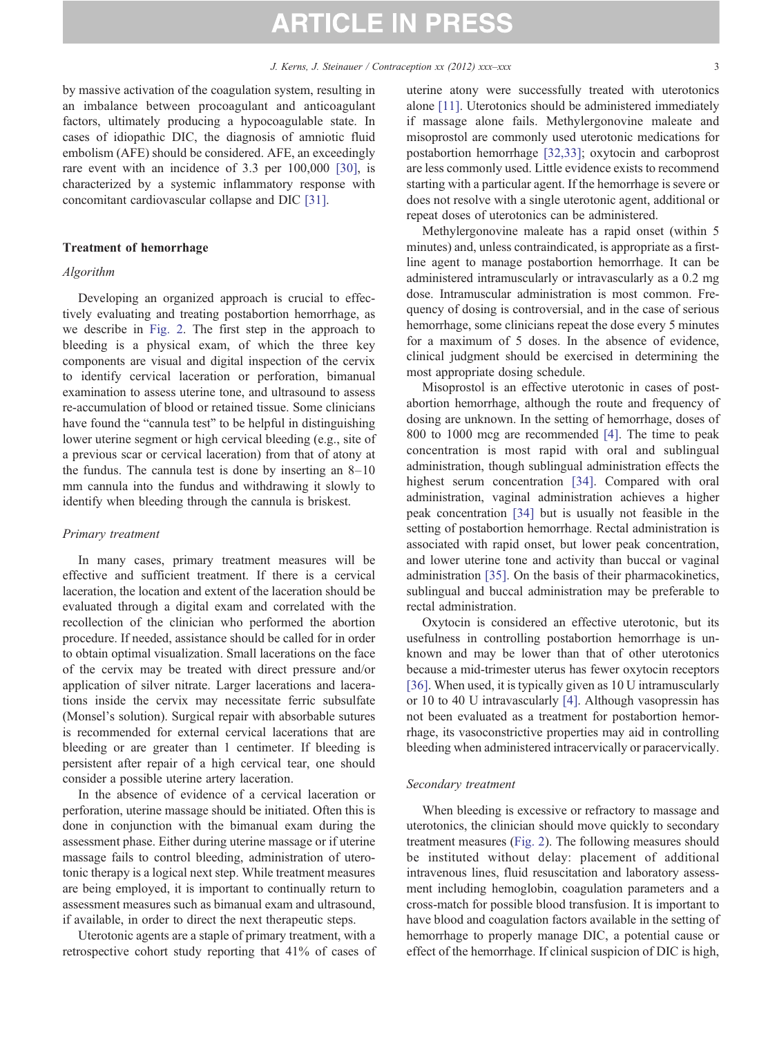by massive activation of the coagulation system, resulting in an imbalance between procoagulant and anticoagulant factors, ultimately producing a hypocoagulable state. In cases of idiopathic DIC, the diagnosis of amniotic fluid embolism (AFE) should be considered. AFE, an exceedingly rare event with an incidence of 3.3 per 100,000 [\[30\]](#page-9-0), is characterized by a systemic inflammatory response with concomitant cardiovascular collapse and DIC [\[31\]](#page-9-0).

#### Treatment of hemorrhage

### Algorithm

Developing an organized approach is crucial to effectively evaluating and treating postabortion hemorrhage, as we describe in [Fig. 2.](#page-6-0) The first step in the approach to bleeding is a physical exam, of which the three key components are visual and digital inspection of the cervix to identify cervical laceration or perforation, bimanual examination to assess uterine tone, and ultrasound to assess re-accumulation of blood or retained tissue. Some clinicians have found the "cannula test" to be helpful in distinguishing lower uterine segment or high cervical bleeding (e.g., site of a previous scar or cervical laceration) from that of atony at the fundus. The cannula test is done by inserting an 8–10 mm cannula into the fundus and withdrawing it slowly to identify when bleeding through the cannula is briskest.

#### Primary treatment

In many cases, primary treatment measures will be effective and sufficient treatment. If there is a cervical laceration, the location and extent of the laceration should be evaluated through a digital exam and correlated with the recollection of the clinician who performed the abortion procedure. If needed, assistance should be called for in order to obtain optimal visualization. Small lacerations on the face of the cervix may be treated with direct pressure and/or application of silver nitrate. Larger lacerations and lacerations inside the cervix may necessitate ferric subsulfate (Monsel's solution). Surgical repair with absorbable sutures is recommended for external cervical lacerations that are bleeding or are greater than 1 centimeter. If bleeding is persistent after repair of a high cervical tear, one should consider a possible uterine artery laceration.

In the absence of evidence of a cervical laceration or perforation, uterine massage should be initiated. Often this is done in conjunction with the bimanual exam during the assessment phase. Either during uterine massage or if uterine massage fails to control bleeding, administration of uterotonic therapy is a logical next step. While treatment measures are being employed, it is important to continually return to assessment measures such as bimanual exam and ultrasound, if available, in order to direct the next therapeutic steps.

Uterotonic agents are a staple of primary treatment, with a retrospective cohort study reporting that 41% of cases of uterine atony were successfully treated with uterotonics alone [\[11\]](#page-9-0). Uterotonics should be administered immediately if massage alone fails. Methylergonovine maleate and misoprostol are commonly used uterotonic medications for postabortion hemorrhage [\[32,33\]](#page-9-0); oxytocin and carboprost are less commonly used. Little evidence exists to recommend starting with a particular agent. If the hemorrhage is severe or does not resolve with a single uterotonic agent, additional or repeat doses of uterotonics can be administered.

Methylergonovine maleate has a rapid onset (within 5 minutes) and, unless contraindicated, is appropriate as a firstline agent to manage postabortion hemorrhage. It can be administered intramuscularly or intravascularly as a 0.2 mg dose. Intramuscular administration is most common. Frequency of dosing is controversial, and in the case of serious hemorrhage, some clinicians repeat the dose every 5 minutes for a maximum of 5 doses. In the absence of evidence, clinical judgment should be exercised in determining the most appropriate dosing schedule.

Misoprostol is an effective uterotonic in cases of postabortion hemorrhage, although the route and frequency of dosing are unknown. In the setting of hemorrhage, doses of 800 to 1000 mcg are recommended [\[4\].](#page-9-0) The time to peak concentration is most rapid with oral and sublingual administration, though sublingual administration effects the highest serum concentration [\[34\].](#page-9-0) Compared with oral administration, vaginal administration achieves a higher peak concentration [\[34\]](#page-9-0) but is usually not feasible in the setting of postabortion hemorrhage. Rectal administration is associated with rapid onset, but lower peak concentration, and lower uterine tone and activity than buccal or vaginal administration [\[35\]](#page-9-0). On the basis of their pharmacokinetics, sublingual and buccal administration may be preferable to rectal administration.

Oxytocin is considered an effective uterotonic, but its usefulness in controlling postabortion hemorrhage is unknown and may be lower than that of other uterotonics because a mid-trimester uterus has fewer oxytocin receptors [\[36\]](#page-9-0). When used, it is typically given as 10 U intramuscularly or 10 to 40 U intravascularly [\[4\].](#page-9-0) Although vasopressin has not been evaluated as a treatment for postabortion hemorrhage, its vasoconstrictive properties may aid in controlling bleeding when administered intracervically or paracervically.

#### Secondary treatment

When bleeding is excessive or refractory to massage and uterotonics, the clinician should move quickly to secondary treatment measures [\(Fig. 2\)](#page-6-0). The following measures should be instituted without delay: placement of additional intravenous lines, fluid resuscitation and laboratory assessment including hemoglobin, coagulation parameters and a cross-match for possible blood transfusion. It is important to have blood and coagulation factors available in the setting of hemorrhage to properly manage DIC, a potential cause or effect of the hemorrhage. If clinical suspicion of DIC is high,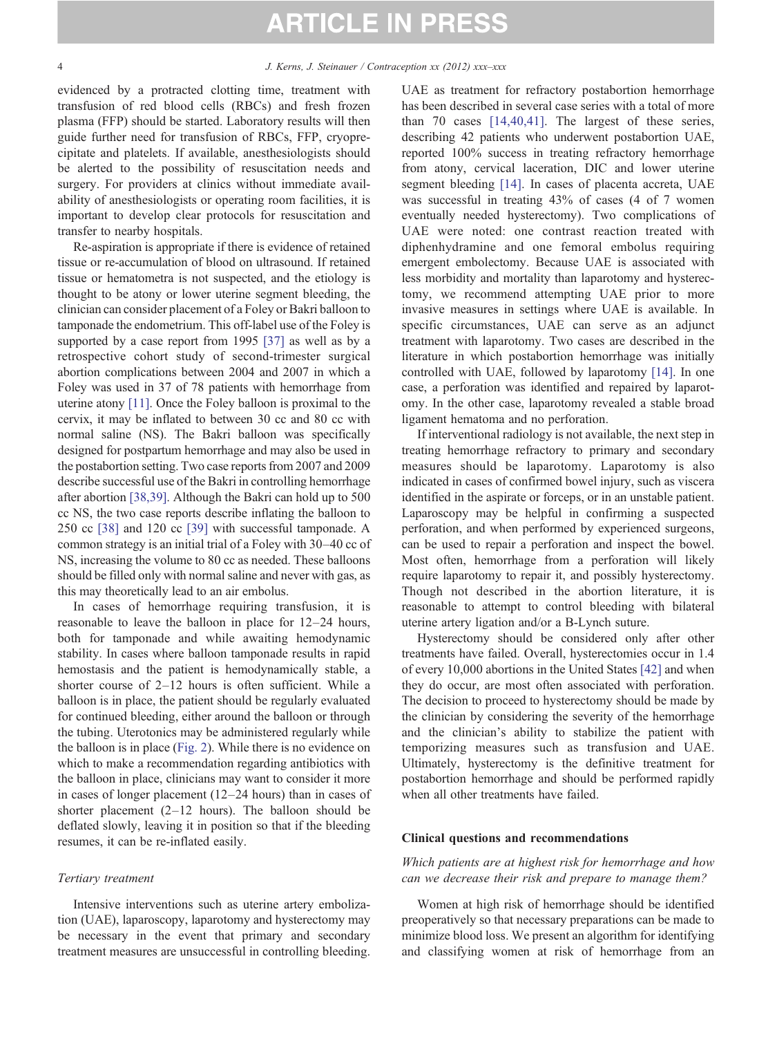#### 4 J. Kerns, J. Steinauer / Contraception xx (2012) xxx–xxx

evidenced by a protracted clotting time, treatment with transfusion of red blood cells (RBCs) and fresh frozen plasma (FFP) should be started. Laboratory results will then guide further need for transfusion of RBCs, FFP, cryoprecipitate and platelets. If available, anesthesiologists should be alerted to the possibility of resuscitation needs and surgery. For providers at clinics without immediate availability of anesthesiologists or operating room facilities, it is important to develop clear protocols for resuscitation and transfer to nearby hospitals.

Re-aspiration is appropriate if there is evidence of retained tissue or re-accumulation of blood on ultrasound. If retained tissue or hematometra is not suspected, and the etiology is thought to be atony or lower uterine segment bleeding, the clinician can consider placement of a Foley or Bakri balloon to tamponade the endometrium. This off-label use of the Foley is supported by a case report from 1995 [\[37\]](#page-9-0) as well as by a retrospective cohort study of second-trimester surgical abortion complications between 2004 and 2007 in which a Foley was used in 37 of 78 patients with hemorrhage from uterine atony [\[11\]](#page-9-0). Once the Foley balloon is proximal to the cervix, it may be inflated to between 30 cc and 80 cc with normal saline (NS). The Bakri balloon was specifically designed for postpartum hemorrhage and may also be used in the postabortion setting. Two case reports from 2007 and 2009 describe successful use of the Bakri in controlling hemorrhage after abortion [\[38,39\]](#page-9-0). Although the Bakri can hold up to 500 cc NS, the two case reports describe inflating the balloon to 250 cc [\[38\]](#page-9-0) and 120 cc [\[39\]](#page-9-0) with successful tamponade. A common strategy is an initial trial of a Foley with 30–40 cc of NS, increasing the volume to 80 cc as needed. These balloons should be filled only with normal saline and never with gas, as this may theoretically lead to an air embolus.

In cases of hemorrhage requiring transfusion, it is reasonable to leave the balloon in place for 12–24 hours, both for tamponade and while awaiting hemodynamic stability. In cases where balloon tamponade results in rapid hemostasis and the patient is hemodynamically stable, a shorter course of 2–12 hours is often sufficient. While a balloon is in place, the patient should be regularly evaluated for continued bleeding, either around the balloon or through the tubing. Uterotonics may be administered regularly while the balloon is in place [\(Fig. 2](#page-6-0)). While there is no evidence on which to make a recommendation regarding antibiotics with the balloon in place, clinicians may want to consider it more in cases of longer placement (12–24 hours) than in cases of shorter placement  $(2-12$  hours). The balloon should be deflated slowly, leaving it in position so that if the bleeding resumes, it can be re-inflated easily.

### Tertiary treatment

Intensive interventions such as uterine artery embolization (UAE), laparoscopy, laparotomy and hysterectomy may be necessary in the event that primary and secondary treatment measures are unsuccessful in controlling bleeding.

UAE as treatment for refractory postabortion hemorrhage has been described in several case series with a total of more than 70 cases [\[14,40,41\]](#page-9-0). The largest of these series, describing 42 patients who underwent postabortion UAE, reported 100% success in treating refractory hemorrhage from atony, cervical laceration, DIC and lower uterine segment bleeding [\[14\].](#page-9-0) In cases of placenta accreta, UAE was successful in treating 43% of cases (4 of 7 women eventually needed hysterectomy). Two complications of UAE were noted: one contrast reaction treated with diphenhydramine and one femoral embolus requiring emergent embolectomy. Because UAE is associated with less morbidity and mortality than laparotomy and hysterectomy, we recommend attempting UAE prior to more invasive measures in settings where UAE is available. In specific circumstances, UAE can serve as an adjunct treatment with laparotomy. Two cases are described in the literature in which postabortion hemorrhage was initially controlled with UAE, followed by laparotomy [\[14\]](#page-9-0). In one case, a perforation was identified and repaired by laparotomy. In the other case, laparotomy revealed a stable broad ligament hematoma and no perforation.

If interventional radiology is not available, the next step in treating hemorrhage refractory to primary and secondary measures should be laparotomy. Laparotomy is also indicated in cases of confirmed bowel injury, such as viscera identified in the aspirate or forceps, or in an unstable patient. Laparoscopy may be helpful in confirming a suspected perforation, and when performed by experienced surgeons, can be used to repair a perforation and inspect the bowel. Most often, hemorrhage from a perforation will likely require laparotomy to repair it, and possibly hysterectomy. Though not described in the abortion literature, it is reasonable to attempt to control bleeding with bilateral uterine artery ligation and/or a B-Lynch suture.

Hysterectomy should be considered only after other treatments have failed. Overall, hysterectomies occur in 1.4 of every 10,000 abortions in the United States [\[42\]](#page-10-0) and when they do occur, are most often associated with perforation. The decision to proceed to hysterectomy should be made by the clinician by considering the severity of the hemorrhage and the clinician's ability to stabilize the patient with temporizing measures such as transfusion and UAE. Ultimately, hysterectomy is the definitive treatment for postabortion hemorrhage and should be performed rapidly when all other treatments have failed.

#### Clinical questions and recommendations

Which patients are at highest risk for hemorrhage and how can we decrease their risk and prepare to manage them?

Women at high risk of hemorrhage should be identified preoperatively so that necessary preparations can be made to minimize blood loss. We present an algorithm for identifying and classifying women at risk of hemorrhage from an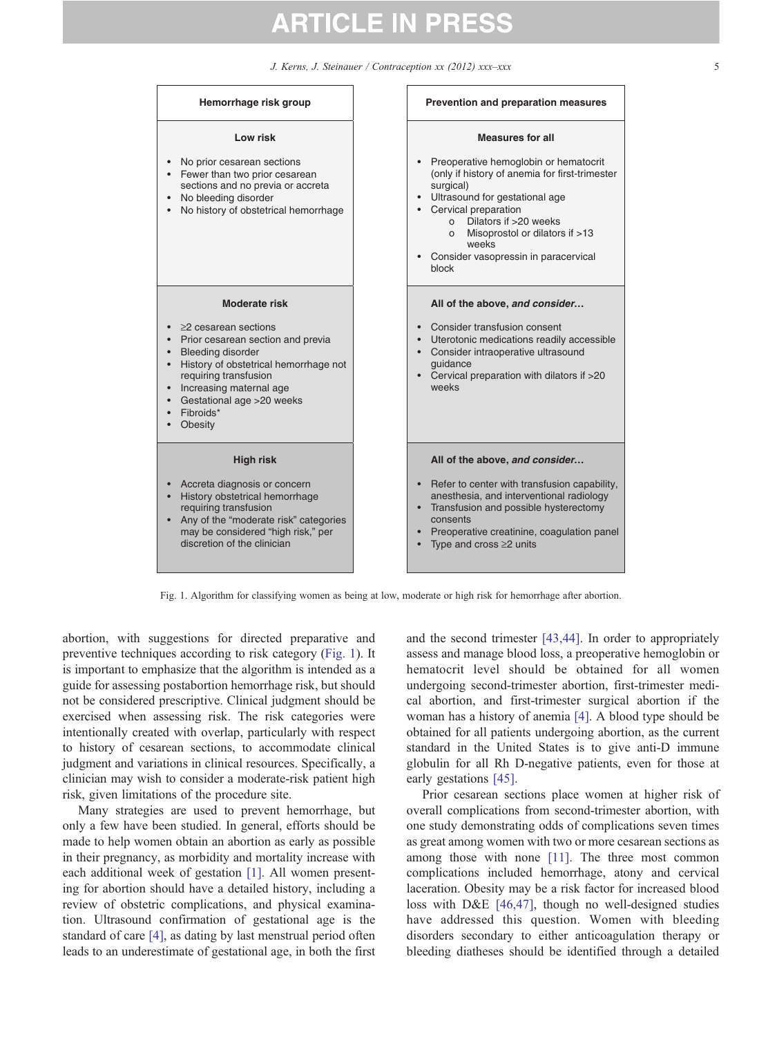J. Kerns, J. Steinauer / Contraception xx (2012) xxx–xxx 5



Fig. 1. Algorithm for classifying women as being at low, moderate or high risk for hemorrhage after abortion.

abortion, with suggestions for directed preparative and preventive techniques according to risk category (Fig. 1). It is important to emphasize that the algorithm is intended as a guide for assessing postabortion hemorrhage risk, but should not be considered prescriptive. Clinical judgment should be exercised when assessing risk. The risk categories were intentionally created with overlap, particularly with respect to history of cesarean sections, to accommodate clinical judgment and variations in clinical resources. Specifically, a clinician may wish to consider a moderate-risk patient high risk, given limitations of the procedure site.

Many strategies are used to prevent hemorrhage, but only a few have been studied. In general, efforts should be made to help women obtain an abortion as early as possible in their pregnancy, as morbidity and mortality increase with each additional week of gestation [\[1\].](#page-9-0) All women presenting for abortion should have a detailed history, including a review of obstetric complications, and physical examination. Ultrasound confirmation of gestational age is the standard of care [\[4\]](#page-9-0), as dating by last menstrual period often leads to an underestimate of gestational age, in both the first and the second trimester [\[43,44\]](#page-10-0). In order to appropriately assess and manage blood loss, a preoperative hemoglobin or hematocrit level should be obtained for all women undergoing second-trimester abortion, first-trimester medical abortion, and first-trimester surgical abortion if the woman has a history of anemia [\[4\]](#page-9-0). A blood type should be obtained for all patients undergoing abortion, as the current standard in the United States is to give anti-D immune globulin for all Rh D-negative patients, even for those at early gestations [\[45\]](#page-10-0).

Prior cesarean sections place women at higher risk of overall complications from second-trimester abortion, with one study demonstrating odds of complications seven times as great among women with two or more cesarean sections as among those with none [\[11\]](#page-9-0). The three most common complications included hemorrhage, atony and cervical laceration. Obesity may be a risk factor for increased blood loss with D&E [\[46,47\],](#page-10-0) though no well-designed studies have addressed this question. Women with bleeding disorders secondary to either anticoagulation therapy or bleeding diatheses should be identified through a detailed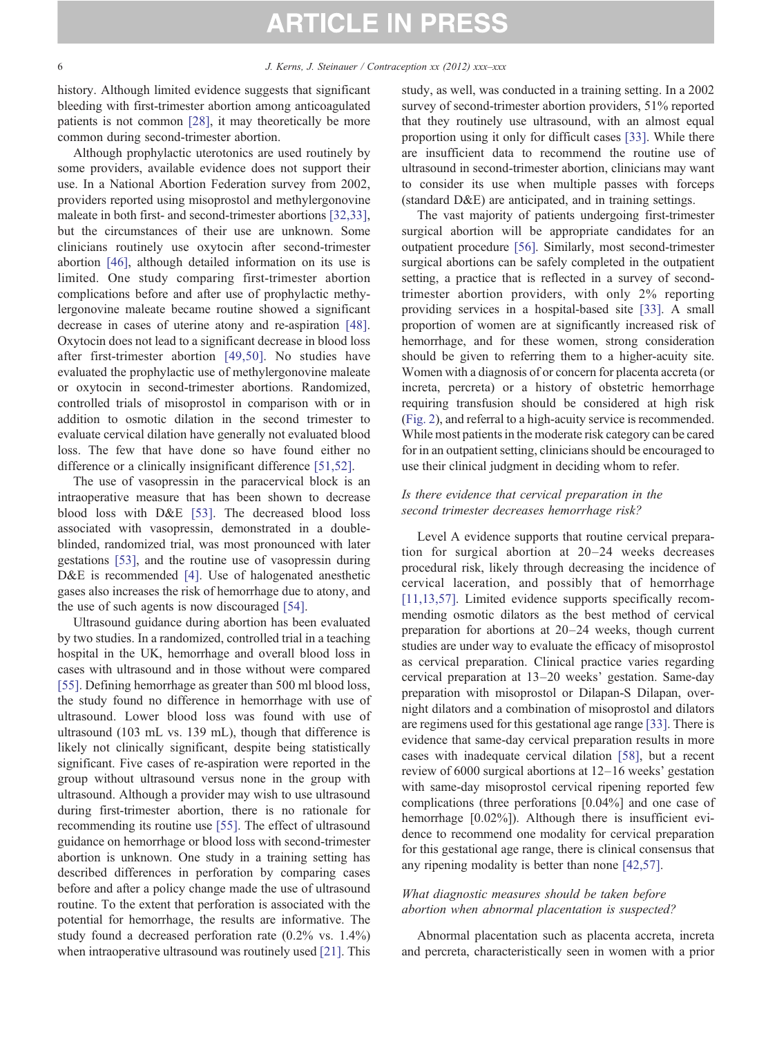history. Although limited evidence suggests that significant bleeding with first-trimester abortion among anticoagulated patients is not common [\[28\]](#page-9-0), it may theoretically be more common during second-trimester abortion.

Although prophylactic uterotonics are used routinely by some providers, available evidence does not support their use. In a National Abortion Federation survey from 2002, providers reported using misoprostol and methylergonovine maleate in both first- and second-trimester abortions [\[32,33\],](#page-9-0) but the circumstances of their use are unknown. Some clinicians routinely use oxytocin after second-trimester abortion [\[46\],](#page-10-0) although detailed information on its use is limited. One study comparing first-trimester abortion complications before and after use of prophylactic methylergonovine maleate became routine showed a significant decrease in cases of uterine atony and re-aspiration [\[48\].](#page-10-0) Oxytocin does not lead to a significant decrease in blood loss after first-trimester abortion [\[49,50\]](#page-10-0). No studies have evaluated the prophylactic use of methylergonovine maleate or oxytocin in second-trimester abortions. Randomized, controlled trials of misoprostol in comparison with or in addition to osmotic dilation in the second trimester to evaluate cervical dilation have generally not evaluated blood loss. The few that have done so have found either no difference or a clinically insignificant difference [\[51,52\]](#page-10-0).

The use of vasopressin in the paracervical block is an intraoperative measure that has been shown to decrease blood loss with D&E [\[53\].](#page-10-0) The decreased blood loss associated with vasopressin, demonstrated in a doubleblinded, randomized trial, was most pronounced with later gestations [\[53\]](#page-10-0), and the routine use of vasopressin during D&E is recommended [\[4\]](#page-9-0). Use of halogenated anesthetic gases also increases the risk of hemorrhage due to atony, and the use of such agents is now discouraged [\[54\].](#page-10-0)

Ultrasound guidance during abortion has been evaluated by two studies. In a randomized, controlled trial in a teaching hospital in the UK, hemorrhage and overall blood loss in cases with ultrasound and in those without were compared [\[55\]](#page-10-0). Defining hemorrhage as greater than 500 ml blood loss, the study found no difference in hemorrhage with use of ultrasound. Lower blood loss was found with use of ultrasound (103 mL vs. 139 mL), though that difference is likely not clinically significant, despite being statistically significant. Five cases of re-aspiration were reported in the group without ultrasound versus none in the group with ultrasound. Although a provider may wish to use ultrasound during first-trimester abortion, there is no rationale for recommending its routine use [\[55\].](#page-10-0) The effect of ultrasound guidance on hemorrhage or blood loss with second-trimester abortion is unknown. One study in a training setting has described differences in perforation by comparing cases before and after a policy change made the use of ultrasound routine. To the extent that perforation is associated with the potential for hemorrhage, the results are informative. The study found a decreased perforation rate (0.2% vs. 1.4%) when intraoperative ultrasound was routinely used [\[21\].](#page-9-0) This study, as well, was conducted in a training setting. In a 2002 survey of second-trimester abortion providers, 51% reported that they routinely use ultrasound, with an almost equal proportion using it only for difficult cases [\[33\]](#page-9-0). While there are insufficient data to recommend the routine use of ultrasound in second-trimester abortion, clinicians may want to consider its use when multiple passes with forceps (standard D&E) are anticipated, and in training settings.

The vast majority of patients undergoing first-trimester surgical abortion will be appropriate candidates for an outpatient procedure [\[56\]](#page-10-0). Similarly, most second-trimester surgical abortions can be safely completed in the outpatient setting, a practice that is reflected in a survey of secondtrimester abortion providers, with only 2% reporting providing services in a hospital-based site [\[33\]](#page-9-0). A small proportion of women are at significantly increased risk of hemorrhage, and for these women, strong consideration should be given to referring them to a higher-acuity site. Women with a diagnosis of or concern for placenta accreta (or increta, percreta) or a history of obstetric hemorrhage requiring transfusion should be considered at high risk [\(Fig. 2\)](#page-6-0), and referral to a high-acuity service is recommended. While most patients in the moderate risk category can be cared for in an outpatient setting, clinicians should be encouraged to use their clinical judgment in deciding whom to refer.

### Is there evidence that cervical preparation in the second trimester decreases hemorrhage risk?

Level A evidence supports that routine cervical preparation for surgical abortion at 20–24 weeks decreases procedural risk, likely through decreasing the incidence of cervical laceration, and possibly that of hemorrhage [\[11,13,57\]](#page-9-0). Limited evidence supports specifically recommending osmotic dilators as the best method of cervical preparation for abortions at 20–24 weeks, though current studies are under way to evaluate the efficacy of misoprostol as cervical preparation. Clinical practice varies regarding cervical preparation at 13–20 weeks' gestation. Same-day preparation with misoprostol or Dilapan-S Dilapan, overnight dilators and a combination of misoprostol and dilators are regimens used for this gestational age range [\[33\]](#page-9-0). There is evidence that same-day cervical preparation results in more cases with inadequate cervical dilation [\[58\],](#page-10-0) but a recent review of 6000 surgical abortions at 12–16 weeks' gestation with same-day misoprostol cervical ripening reported few complications (three perforations [0.04%] and one case of hemorrhage [0.02%]). Although there is insufficient evidence to recommend one modality for cervical preparation for this gestational age range, there is clinical consensus that any ripening modality is better than none [\[42,57\].](#page-10-0)

### What diagnostic measures should be taken before abortion when abnormal placentation is suspected?

Abnormal placentation such as placenta accreta, increta and percreta, characteristically seen in women with a prior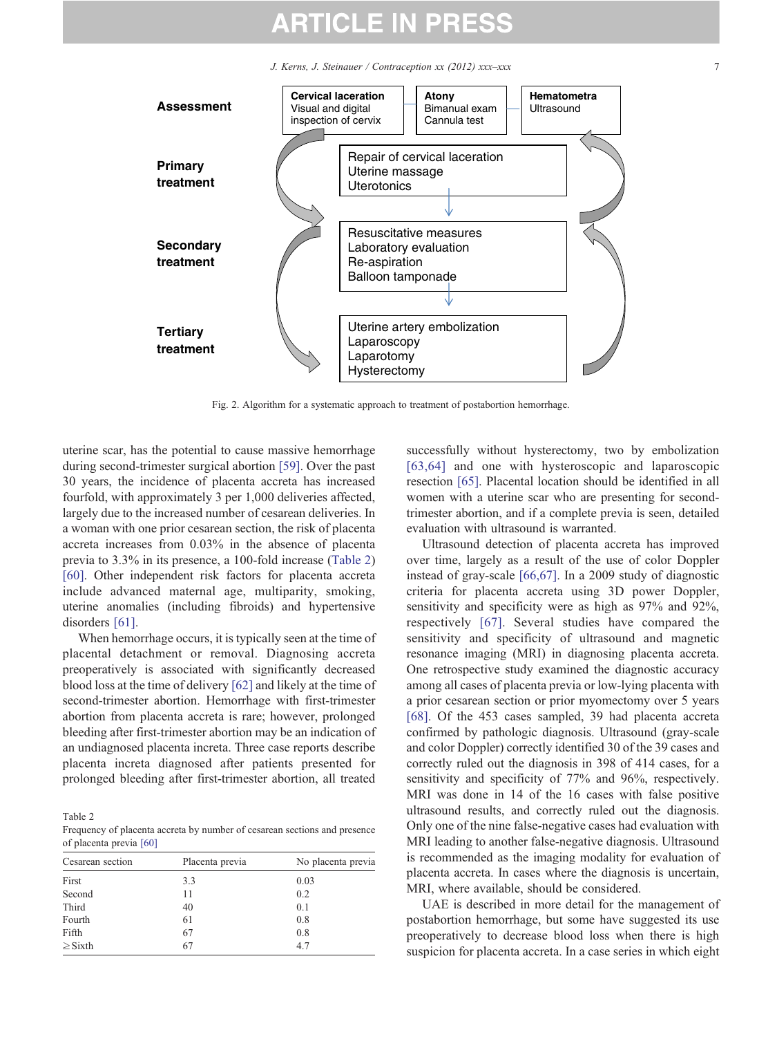J. Kerns, J. Steinauer / Contraception xx (2012) xxx–xxx 7

<span id="page-6-0"></span>

Fig. 2. Algorithm for a systematic approach to treatment of postabortion hemorrhage.

uterine scar, has the potential to cause massive hemorrhage during second-trimester surgical abortion [\[59\]](#page-10-0). Over the past 30 years, the incidence of placenta accreta has increased fourfold, with approximately 3 per 1,000 deliveries affected, largely due to the increased number of cesarean deliveries. In a woman with one prior cesarean section, the risk of placenta accreta increases from 0.03% in the absence of placenta previa to 3.3% in its presence, a 100-fold increase (Table 2) [\[60\]](#page-10-0). Other independent risk factors for placenta accreta include advanced maternal age, multiparity, smoking, uterine anomalies (including fibroids) and hypertensive disorders [\[61\]](#page-10-0).

When hemorrhage occurs, it is typically seen at the time of placental detachment or removal. Diagnosing accreta preoperatively is associated with significantly decreased blood loss at the time of delivery [\[62\]](#page-10-0) and likely at the time of second-trimester abortion. Hemorrhage with first-trimester abortion from placenta accreta is rare; however, prolonged bleeding after first-trimester abortion may be an indication of an undiagnosed placenta increta. Three case reports describe placenta increta diagnosed after patients presented for prolonged bleeding after first-trimester abortion, all treated

Table 2

Frequency of placenta accreta by number of cesarean sections and presence of placenta previa [\[60\]](#page-10-0)

| Cesarean section | Placenta previa | No placenta previa |
|------------------|-----------------|--------------------|
| First            | 3.3             | 0.03               |
| Second           | 11              | 0.2                |
| Third            | 40              | 0.1                |
| Fourth           | 61              | 0.8                |
| Fifth            | 67              | 0.8                |
| $\geq$ Sixth     | 67              | 4.7                |

successfully without hysterectomy, two by embolization [\[63,64\]](#page-10-0) and one with hysteroscopic and laparoscopic resection [\[65\]](#page-10-0). Placental location should be identified in all women with a uterine scar who are presenting for secondtrimester abortion, and if a complete previa is seen, detailed evaluation with ultrasound is warranted.

Ultrasound detection of placenta accreta has improved over time, largely as a result of the use of color Doppler instead of gray-scale [\[66,67\].](#page-10-0) In a 2009 study of diagnostic criteria for placenta accreta using 3D power Doppler, sensitivity and specificity were as high as 97% and 92%, respectively [\[67\].](#page-10-0) Several studies have compared the sensitivity and specificity of ultrasound and magnetic resonance imaging (MRI) in diagnosing placenta accreta. One retrospective study examined the diagnostic accuracy among all cases of placenta previa or low-lying placenta with a prior cesarean section or prior myomectomy over 5 years [\[68\]](#page-10-0). Of the 453 cases sampled, 39 had placenta accreta confirmed by pathologic diagnosis. Ultrasound (gray-scale and color Doppler) correctly identified 30 of the 39 cases and correctly ruled out the diagnosis in 398 of 414 cases, for a sensitivity and specificity of 77% and 96%, respectively. MRI was done in 14 of the 16 cases with false positive ultrasound results, and correctly ruled out the diagnosis. Only one of the nine false-negative cases had evaluation with MRI leading to another false-negative diagnosis. Ultrasound is recommended as the imaging modality for evaluation of placenta accreta. In cases where the diagnosis is uncertain, MRI, where available, should be considered.

UAE is described in more detail for the management of postabortion hemorrhage, but some have suggested its use preoperatively to decrease blood loss when there is high suspicion for placenta accreta. In a case series in which eight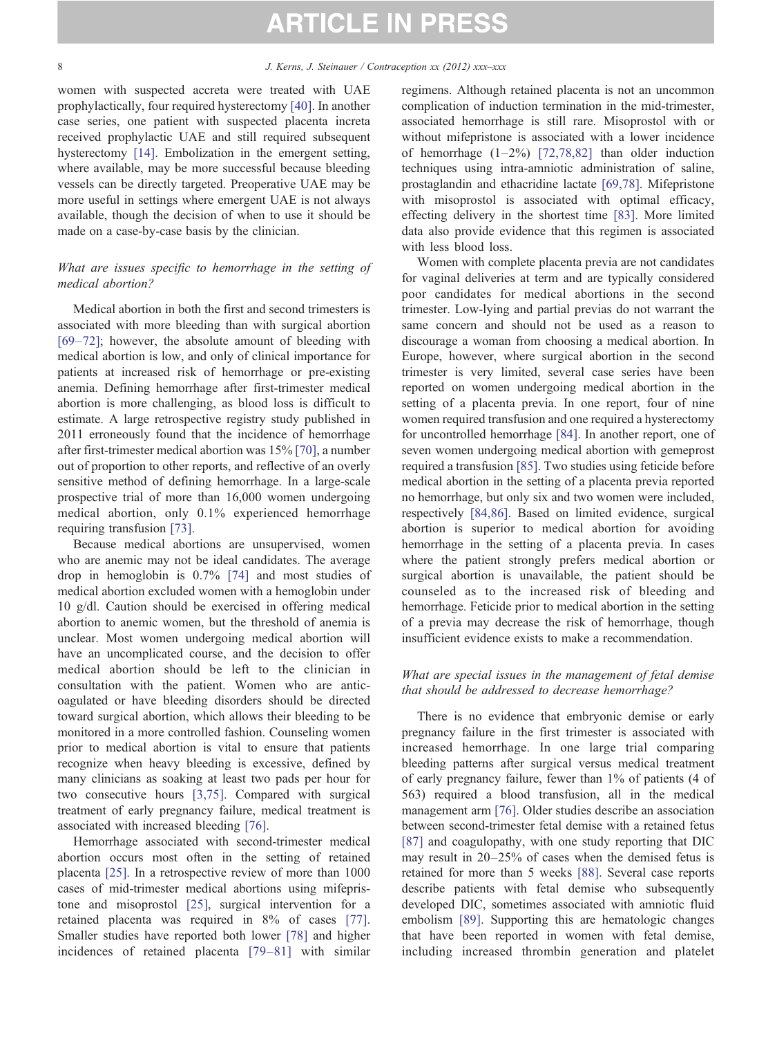women with suspected accreta were treated with UAE prophylactically, four required hysterectomy [\[40\]](#page-9-0). In another case series, one patient with suspected placenta increta received prophylactic UAE and still required subsequent hysterectomy [\[14\]](#page-9-0). Embolization in the emergent setting, where available, may be more successful because bleeding vessels can be directly targeted. Preoperative UAE may be more useful in settings where emergent UAE is not always available, though the decision of when to use it should be made on a case-by-case basis by the clinician.

### What are issues specific to hemorrhage in the setting of medical abortion?

Medical abortion in both the first and second trimesters is associated with more bleeding than with surgical abortion [\[69](#page-10-0)–72]; however, the absolute amount of bleeding with medical abortion is low, and only of clinical importance for patients at increased risk of hemorrhage or pre-existing anemia. Defining hemorrhage after first-trimester medical abortion is more challenging, as blood loss is difficult to estimate. A large retrospective registry study published in 2011 erroneously found that the incidence of hemorrhage after first-trimester medical abortion was 15% [\[70\]](#page-10-0), a number out of proportion to other reports, and reflective of an overly sensitive method of defining hemorrhage. In a large-scale prospective trial of more than 16,000 women undergoing medical abortion, only 0.1% experienced hemorrhage requiring transfusion [\[73\].](#page-10-0)

Because medical abortions are unsupervised, women who are anemic may not be ideal candidates. The average drop in hemoglobin is 0.7% [\[74\]](#page-10-0) and most studies of medical abortion excluded women with a hemoglobin under 10 g/dl. Caution should be exercised in offering medical abortion to anemic women, but the threshold of anemia is unclear. Most women undergoing medical abortion will have an uncomplicated course, and the decision to offer medical abortion should be left to the clinician in consultation with the patient. Women who are anticoagulated or have bleeding disorders should be directed toward surgical abortion, which allows their bleeding to be monitored in a more controlled fashion. Counseling women prior to medical abortion is vital to ensure that patients recognize when heavy bleeding is excessive, defined by many clinicians as soaking at least two pads per hour for two consecutive hours [\[3,75\]](#page-9-0). Compared with surgical treatment of early pregnancy failure, medical treatment is associated with increased bleeding [\[76\]](#page-10-0).

Hemorrhage associated with second-trimester medical abortion occurs most often in the setting of retained placenta [\[25\].](#page-9-0) In a retrospective review of more than 1000 cases of mid-trimester medical abortions using mifepristone and misoprostol [\[25\],](#page-9-0) surgical intervention for a retained placenta was required in 8% of cases [\[77\].](#page-10-0) Smaller studies have reported both lower [\[78\]](#page-10-0) and higher incidences of retained placenta [\[79](#page-10-0)–81] with similar

regimens. Although retained placenta is not an uncommon complication of induction termination in the mid-trimester, associated hemorrhage is still rare. Misoprostol with or without mifepristone is associated with a lower incidence of hemorrhage  $(1-2\%)$  [\[72,78,82\]](#page-10-0) than older induction techniques using intra-amniotic administration of saline, prostaglandin and ethacridine lactate [\[69,78\].](#page-10-0) Mifepristone with misoprostol is associated with optimal efficacy, effecting delivery in the shortest time [\[83\]](#page-11-0). More limited data also provide evidence that this regimen is associated with less blood loss.

Women with complete placenta previa are not candidates for vaginal deliveries at term and are typically considered poor candidates for medical abortions in the second trimester. Low-lying and partial previas do not warrant the same concern and should not be used as a reason to discourage a woman from choosing a medical abortion. In Europe, however, where surgical abortion in the second trimester is very limited, several case series have been reported on women undergoing medical abortion in the setting of a placenta previa. In one report, four of nine women required transfusion and one required a hysterectomy for uncontrolled hemorrhage [\[84\].](#page-11-0) In another report, one of seven women undergoing medical abortion with gemeprost required a transfusion [\[85\]](#page-11-0). Two studies using feticide before medical abortion in the setting of a placenta previa reported no hemorrhage, but only six and two women were included, respectively [\[84,86\]](#page-11-0). Based on limited evidence, surgical abortion is superior to medical abortion for avoiding hemorrhage in the setting of a placenta previa. In cases where the patient strongly prefers medical abortion or surgical abortion is unavailable, the patient should be counseled as to the increased risk of bleeding and hemorrhage. Feticide prior to medical abortion in the setting of a previa may decrease the risk of hemorrhage, though insufficient evidence exists to make a recommendation.

### What are special issues in the management of fetal demise that should be addressed to decrease hemorrhage?

There is no evidence that embryonic demise or early pregnancy failure in the first trimester is associated with increased hemorrhage. In one large trial comparing bleeding patterns after surgical versus medical treatment of early pregnancy failure, fewer than 1% of patients (4 of 563) required a blood transfusion, all in the medical management arm [\[76\].](#page-10-0) Older studies describe an association between second-trimester fetal demise with a retained fetus [\[87\]](#page-11-0) and coagulopathy, with one study reporting that DIC may result in 20–25% of cases when the demised fetus is retained for more than 5 weeks [\[88\].](#page-11-0) Several case reports describe patients with fetal demise who subsequently developed DIC, sometimes associated with amniotic fluid embolism [\[89\].](#page-11-0) Supporting this are hematologic changes that have been reported in women with fetal demise, including increased thrombin generation and platelet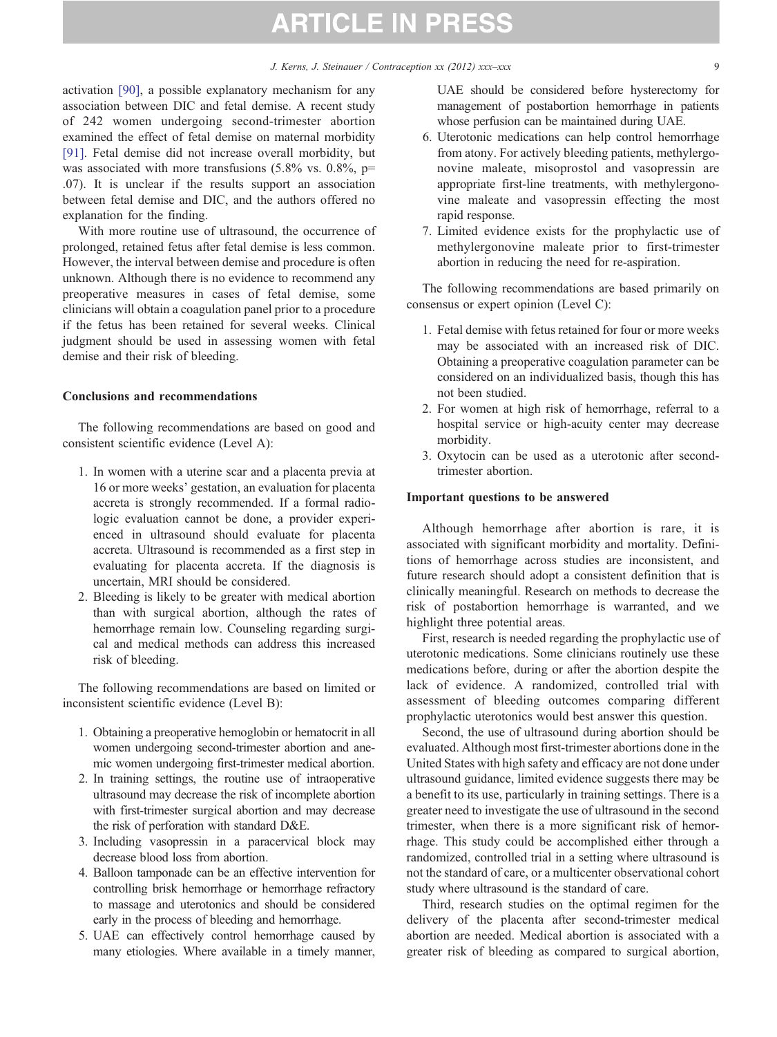activation [\[90\],](#page-11-0) a possible explanatory mechanism for any association between DIC and fetal demise. A recent study of 242 women undergoing second-trimester abortion examined the effect of fetal demise on maternal morbidity [\[91\]](#page-11-0). Fetal demise did not increase overall morbidity, but was associated with more transfusions  $(5.8\% \text{ vs. } 0.8\%, \text{ p}$ = .07). It is unclear if the results support an association between fetal demise and DIC, and the authors offered no explanation for the finding.

With more routine use of ultrasound, the occurrence of prolonged, retained fetus after fetal demise is less common. However, the interval between demise and procedure is often unknown. Although there is no evidence to recommend any preoperative measures in cases of fetal demise, some clinicians will obtain a coagulation panel prior to a procedure if the fetus has been retained for several weeks. Clinical judgment should be used in assessing women with fetal demise and their risk of bleeding.

### Conclusions and recommendations

The following recommendations are based on good and consistent scientific evidence (Level A):

- 1. In women with a uterine scar and a placenta previa at 16 or more weeks' gestation, an evaluation for placenta accreta is strongly recommended. If a formal radiologic evaluation cannot be done, a provider experienced in ultrasound should evaluate for placenta accreta. Ultrasound is recommended as a first step in evaluating for placenta accreta. If the diagnosis is uncertain, MRI should be considered.
- 2. Bleeding is likely to be greater with medical abortion than with surgical abortion, although the rates of hemorrhage remain low. Counseling regarding surgical and medical methods can address this increased risk of bleeding.

The following recommendations are based on limited or inconsistent scientific evidence (Level B):

- 1. Obtaining a preoperative hemoglobin or hematocrit in all women undergoing second-trimester abortion and anemic women undergoing first-trimester medical abortion.
- 2. In training settings, the routine use of intraoperative ultrasound may decrease the risk of incomplete abortion with first-trimester surgical abortion and may decrease the risk of perforation with standard D&E.
- 3. Including vasopressin in a paracervical block may decrease blood loss from abortion.
- 4. Balloon tamponade can be an effective intervention for controlling brisk hemorrhage or hemorrhage refractory to massage and uterotonics and should be considered early in the process of bleeding and hemorrhage.
- 5. UAE can effectively control hemorrhage caused by many etiologies. Where available in a timely manner,

UAE should be considered before hysterectomy for management of postabortion hemorrhage in patients whose perfusion can be maintained during UAE.

- 6. Uterotonic medications can help control hemorrhage from atony. For actively bleeding patients, methylergonovine maleate, misoprostol and vasopressin are appropriate first-line treatments, with methylergonovine maleate and vasopressin effecting the most rapid response.
- 7. Limited evidence exists for the prophylactic use of methylergonovine maleate prior to first-trimester abortion in reducing the need for re-aspiration.

The following recommendations are based primarily on consensus or expert opinion (Level C):

- 1. Fetal demise with fetus retained for four or more weeks may be associated with an increased risk of DIC. Obtaining a preoperative coagulation parameter can be considered on an individualized basis, though this has not been studied.
- 2. For women at high risk of hemorrhage, referral to a hospital service or high-acuity center may decrease morbidity.
- 3. Oxytocin can be used as a uterotonic after secondtrimester abortion.

### Important questions to be answered

Although hemorrhage after abortion is rare, it is associated with significant morbidity and mortality. Definitions of hemorrhage across studies are inconsistent, and future research should adopt a consistent definition that is clinically meaningful. Research on methods to decrease the risk of postabortion hemorrhage is warranted, and we highlight three potential areas.

First, research is needed regarding the prophylactic use of uterotonic medications. Some clinicians routinely use these medications before, during or after the abortion despite the lack of evidence. A randomized, controlled trial with assessment of bleeding outcomes comparing different prophylactic uterotonics would best answer this question.

Second, the use of ultrasound during abortion should be evaluated. Although most first-trimester abortions done in the United States with high safety and efficacy are not done under ultrasound guidance, limited evidence suggests there may be a benefit to its use, particularly in training settings. There is a greater need to investigate the use of ultrasound in the second trimester, when there is a more significant risk of hemorrhage. This study could be accomplished either through a randomized, controlled trial in a setting where ultrasound is not the standard of care, or a multicenter observational cohort study where ultrasound is the standard of care.

Third, research studies on the optimal regimen for the delivery of the placenta after second-trimester medical abortion are needed. Medical abortion is associated with a greater risk of bleeding as compared to surgical abortion,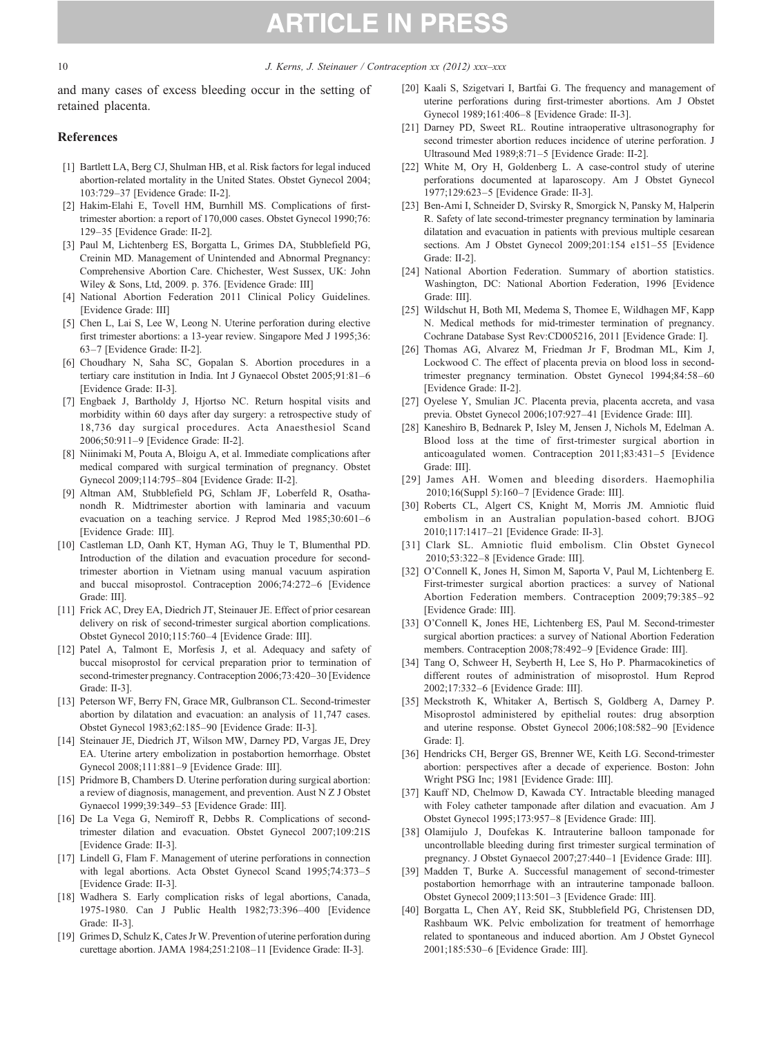<span id="page-9-0"></span>10 J. Kerns, J. Steinauer / Contraception xx (2012) xxx–xxx

and many cases of excess bleeding occur in the setting of retained placenta.

#### References

- [1] Bartlett LA, Berg CJ, Shulman HB, et al. Risk factors for legal induced abortion-related mortality in the United States. Obstet Gynecol 2004; 103:729–37 [Evidence Grade: II-2].
- [2] Hakim-Elahi E, Tovell HM, Burnhill MS. Complications of firsttrimester abortion: a report of 170,000 cases. Obstet Gynecol 1990;76: 129–35 [Evidence Grade: II-2].
- [3] Paul M, Lichtenberg ES, Borgatta L, Grimes DA, Stubblefield PG, Creinin MD. Management of Unintended and Abnormal Pregnancy: Comprehensive Abortion Care. Chichester, West Sussex, UK: John Wiley & Sons, Ltd, 2009. p. 376. [Evidence Grade: III]
- [4] National Abortion Federation 2011 Clinical Policy Guidelines. [Evidence Grade: III]
- [5] Chen L, Lai S, Lee W, Leong N. Uterine perforation during elective first trimester abortions: a 13-year review. Singapore Med J 1995;36: 63–7 [Evidence Grade: II-2].
- [6] Choudhary N, Saha SC, Gopalan S. Abortion procedures in a tertiary care institution in India. Int J Gynaecol Obstet 2005;91:81–6 [Evidence Grade: II-3].
- [7] Engbaek J, Bartholdy J, Hjortso NC. Return hospital visits and morbidity within 60 days after day surgery: a retrospective study of 18,736 day surgical procedures. Acta Anaesthesiol Scand 2006;50:911–9 [Evidence Grade: II-2].
- [8] Niinimaki M, Pouta A, Bloigu A, et al. Immediate complications after medical compared with surgical termination of pregnancy. Obstet Gynecol 2009;114:795–804 [Evidence Grade: II-2].
- [9] Altman AM, Stubblefield PG, Schlam JF, Loberfeld R, Osathanondh R. Midtrimester abortion with laminaria and vacuum evacuation on a teaching service. J Reprod Med 1985;30:601–6 [Evidence Grade: III].
- [10] Castleman LD, Oanh KT, Hyman AG, Thuy le T, Blumenthal PD. Introduction of the dilation and evacuation procedure for secondtrimester abortion in Vietnam using manual vacuum aspiration and buccal misoprostol. Contraception 2006;74:272–6 [Evidence Grade: III].
- [11] Frick AC, Drey EA, Diedrich JT, Steinauer JE. Effect of prior cesarean delivery on risk of second-trimester surgical abortion complications. Obstet Gynecol 2010;115:760–4 [Evidence Grade: III].
- [12] Patel A, Talmont E, Morfesis J, et al. Adequacy and safety of buccal misoprostol for cervical preparation prior to termination of second-trimester pregnancy. Contraception 2006;73:420–30 [Evidence Grade: II-3].
- [13] Peterson WF, Berry FN, Grace MR, Gulbranson CL. Second-trimester abortion by dilatation and evacuation: an analysis of 11,747 cases. Obstet Gynecol 1983;62:185–90 [Evidence Grade: II-3].
- [14] Steinauer JE, Diedrich JT, Wilson MW, Darney PD, Vargas JE, Drey EA. Uterine artery embolization in postabortion hemorrhage. Obstet Gynecol 2008;111:881–9 [Evidence Grade: III].
- [15] Pridmore B, Chambers D. Uterine perforation during surgical abortion: a review of diagnosis, management, and prevention. Aust N Z J Obstet Gynaecol 1999;39:349–53 [Evidence Grade: III].
- [16] De La Vega G, Nemiroff R, Debbs R. Complications of secondtrimester dilation and evacuation. Obstet Gynecol 2007;109:21S [Evidence Grade: II-3].
- [17] Lindell G, Flam F. Management of uterine perforations in connection with legal abortions. Acta Obstet Gynecol Scand 1995;74:373–5 [Evidence Grade: II-3].
- [18] Wadhera S. Early complication risks of legal abortions, Canada, 1975-1980. Can J Public Health 1982;73:396–400 [Evidence Grade: II-3].
- [19] Grimes D, Schulz K, Cates Jr W. Prevention of uterine perforation during curettage abortion. JAMA 1984;251:2108–11 [Evidence Grade: II-3].
- [20] Kaali S, Szigetvari I, Bartfai G. The frequency and management of uterine perforations during first-trimester abortions. Am J Obstet Gynecol 1989;161:406–8 [Evidence Grade: II-3].
- [21] Darney PD, Sweet RL. Routine intraoperative ultrasonography for second trimester abortion reduces incidence of uterine perforation. J Ultrasound Med 1989;8:71–5 [Evidence Grade: II-2].
- [22] White M, Ory H, Goldenberg L. A case-control study of uterine perforations documented at laparoscopy. Am J Obstet Gynecol 1977;129:623–5 [Evidence Grade: II-3].
- [23] Ben-Ami I, Schneider D, Svirsky R, Smorgick N, Pansky M, Halperin R. Safety of late second-trimester pregnancy termination by laminaria dilatation and evacuation in patients with previous multiple cesarean sections. Am J Obstet Gynecol 2009;201:154 e151–55 [Evidence Grade: II-2].
- [24] National Abortion Federation. Summary of abortion statistics. Washington, DC: National Abortion Federation, 1996 [Evidence Grade: III].
- [25] Wildschut H, Both MI, Medema S, Thomee E, Wildhagen MF, Kapp N. Medical methods for mid-trimester termination of pregnancy. Cochrane Database Syst Rev:CD005216, 2011 [Evidence Grade: I].
- [26] Thomas AG, Alvarez M, Friedman Jr F, Brodman ML, Kim J, Lockwood C. The effect of placenta previa on blood loss in secondtrimester pregnancy termination. Obstet Gynecol 1994;84:58–60 [Evidence Grade: II-2].
- [27] Oyelese Y, Smulian JC. Placenta previa, placenta accreta, and vasa previa. Obstet Gynecol 2006;107:927–41 [Evidence Grade: III].
- [28] Kaneshiro B, Bednarek P, Isley M, Jensen J, Nichols M, Edelman A. Blood loss at the time of first-trimester surgical abortion in anticoagulated women. Contraception 2011;83:431–5 [Evidence Grade: III].
- [29] James AH. Women and bleeding disorders. Haemophilia 2010;16(Suppl 5):160–7 [Evidence Grade: III].
- [30] Roberts CL, Algert CS, Knight M, Morris JM. Amniotic fluid embolism in an Australian population-based cohort. BJOG 2010;117:1417–21 [Evidence Grade: II-3].
- [31] Clark SL. Amniotic fluid embolism. Clin Obstet Gynecol 2010;53:322–8 [Evidence Grade: III].
- [32] O'Connell K, Jones H, Simon M, Saporta V, Paul M, Lichtenberg E. First-trimester surgical abortion practices: a survey of National Abortion Federation members. Contraception 2009;79:385–92 [Evidence Grade: III].
- [33] O'Connell K, Jones HE, Lichtenberg ES, Paul M. Second-trimester surgical abortion practices: a survey of National Abortion Federation members. Contraception 2008;78:492–9 [Evidence Grade: III].
- [34] Tang O, Schweer H, Seyberth H, Lee S, Ho P. Pharmacokinetics of different routes of administration of misoprostol. Hum Reprod 2002;17:332–6 [Evidence Grade: III].
- [35] Meckstroth K, Whitaker A, Bertisch S, Goldberg A, Darney P. Misoprostol administered by epithelial routes: drug absorption and uterine response. Obstet Gynecol 2006;108:582–90 [Evidence Grade: I].
- [36] Hendricks CH, Berger GS, Brenner WE, Keith LG. Second-trimester abortion: perspectives after a decade of experience. Boston: John Wright PSG Inc; 1981 [Evidence Grade: III].
- [37] Kauff ND, Chelmow D, Kawada CY. Intractable bleeding managed with Foley catheter tamponade after dilation and evacuation. Am J Obstet Gynecol 1995;173:957–8 [Evidence Grade: III].
- [38] Olamijulo J, Doufekas K. Intrauterine balloon tamponade for uncontrollable bleeding during first trimester surgical termination of pregnancy. J Obstet Gynaecol 2007;27:440–1 [Evidence Grade: III].
- [39] Madden T, Burke A. Successful management of second-trimester postabortion hemorrhage with an intrauterine tamponade balloon. Obstet Gynecol 2009;113:501–3 [Evidence Grade: III].
- [40] Borgatta L, Chen AY, Reid SK, Stubblefield PG, Christensen DD, Rashbaum WK. Pelvic embolization for treatment of hemorrhage related to spontaneous and induced abortion. Am J Obstet Gynecol 2001;185:530–6 [Evidence Grade: III].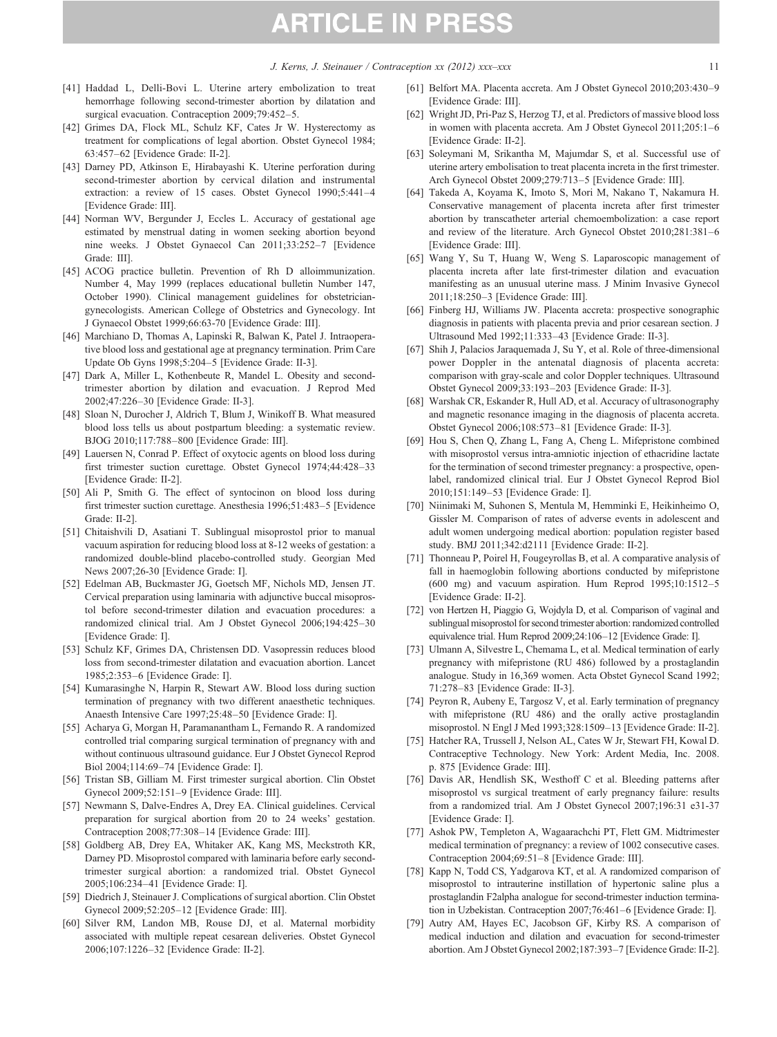J. Kerns, J. Steinauer / Contraception xx (2012) xxx–xxx 11

**ARTICLE IN PRESS** 

- <span id="page-10-0"></span>[41] Haddad L, Delli-Bovi L. Uterine artery embolization to treat hemorrhage following second-trimester abortion by dilatation and surgical evacuation. Contraception 2009;79:452–5.
- [42] Grimes DA, Flock ML, Schulz KF, Cates Jr W. Hysterectomy as treatment for complications of legal abortion. Obstet Gynecol 1984; 63:457–62 [Evidence Grade: II-2].
- [43] Darney PD, Atkinson E, Hirabayashi K. Uterine perforation during second-trimester abortion by cervical dilation and instrumental extraction: a review of 15 cases. Obstet Gynecol 1990;5:441–4 [Evidence Grade: III].
- [44] Norman WV, Bergunder J, Eccles L. Accuracy of gestational age estimated by menstrual dating in women seeking abortion beyond nine weeks. J Obstet Gynaecol Can 2011;33:252–7 [Evidence Grade: III].
- [45] ACOG practice bulletin. Prevention of Rh D alloimmunization. Number 4, May 1999 (replaces educational bulletin Number 147, October 1990). Clinical management guidelines for obstetriciangynecologists. American College of Obstetrics and Gynecology. Int J Gynaecol Obstet 1999;66:63-70 [Evidence Grade: III].
- [46] Marchiano D, Thomas A, Lapinski R, Balwan K, Patel J. Intraoperative blood loss and gestational age at pregnancy termination. Prim Care Update Ob Gyns 1998;5:204–5 [Evidence Grade: II-3].
- [47] Dark A, Miller L, Kothenbeute R, Mandel L. Obesity and secondtrimester abortion by dilation and evacuation. J Reprod Med 2002;47:226–30 [Evidence Grade: II-3].
- [48] Sloan N, Durocher J, Aldrich T, Blum J, Winikoff B. What measured blood loss tells us about postpartum bleeding: a systematic review. BJOG 2010;117:788–800 [Evidence Grade: III].
- [49] Lauersen N, Conrad P. Effect of oxytocic agents on blood loss during first trimester suction curettage. Obstet Gynecol 1974;44:428–33 [Evidence Grade: II-2].
- [50] Ali P, Smith G. The effect of syntocinon on blood loss during first trimester suction curettage. Anesthesia 1996;51:483–5 [Evidence Grade: II-2].
- [51] Chitaishvili D, Asatiani T. Sublingual misoprostol prior to manual vacuum aspiration for reducing blood loss at 8-12 weeks of gestation: a randomized double-blind placebo-controlled study. Georgian Med News 2007;26-30 [Evidence Grade: I].
- [52] Edelman AB, Buckmaster JG, Goetsch MF, Nichols MD, Jensen JT. Cervical preparation using laminaria with adjunctive buccal misoprostol before second-trimester dilation and evacuation procedures: a randomized clinical trial. Am J Obstet Gynecol 2006;194:425–30 [Evidence Grade: I].
- [53] Schulz KF, Grimes DA, Christensen DD. Vasopressin reduces blood loss from second-trimester dilatation and evacuation abortion. Lancet 1985;2:353–6 [Evidence Grade: I].
- [54] Kumarasinghe N, Harpin R, Stewart AW. Blood loss during suction termination of pregnancy with two different anaesthetic techniques. Anaesth Intensive Care 1997;25:48–50 [Evidence Grade: I].
- [55] Acharya G, Morgan H, Paramanantham L, Fernando R. A randomized controlled trial comparing surgical termination of pregnancy with and without continuous ultrasound guidance. Eur J Obstet Gynecol Reprod Biol 2004;114:69–74 [Evidence Grade: I].
- [56] Tristan SB, Gilliam M. First trimester surgical abortion. Clin Obstet Gynecol 2009;52:151–9 [Evidence Grade: III].
- [57] Newmann S, Dalve-Endres A, Drey EA. Clinical guidelines. Cervical preparation for surgical abortion from 20 to 24 weeks' gestation. Contraception 2008;77:308–14 [Evidence Grade: III].
- [58] Goldberg AB, Drey EA, Whitaker AK, Kang MS, Meckstroth KR, Darney PD. Misoprostol compared with laminaria before early secondtrimester surgical abortion: a randomized trial. Obstet Gynecol 2005;106:234–41 [Evidence Grade: I].
- [59] Diedrich J, Steinauer J. Complications of surgical abortion. Clin Obstet Gynecol 2009;52:205–12 [Evidence Grade: III].
- [60] Silver RM, Landon MB, Rouse DJ, et al. Maternal morbidity associated with multiple repeat cesarean deliveries. Obstet Gynecol 2006;107:1226–32 [Evidence Grade: II-2].
- [61] Belfort MA. Placenta accreta. Am J Obstet Gynecol 2010;203:430–9 [Evidence Grade: III].
- [62] Wright JD, Pri-Paz S, Herzog TJ, et al. Predictors of massive blood loss in women with placenta accreta. Am J Obstet Gynecol 2011;205:1–6 [Evidence Grade: II-2].
- [63] Soleymani M, Srikantha M, Majumdar S, et al. Successful use of uterine artery embolisation to treat placenta increta in the first trimester. Arch Gynecol Obstet 2009;279:713–5 [Evidence Grade: III].
- [64] Takeda A, Koyama K, Imoto S, Mori M, Nakano T, Nakamura H. Conservative management of placenta increta after first trimester abortion by transcatheter arterial chemoembolization: a case report and review of the literature. Arch Gynecol Obstet 2010;281:381–6 [Evidence Grade: III].
- [65] Wang Y, Su T, Huang W, Weng S. Laparoscopic management of placenta increta after late first-trimester dilation and evacuation manifesting as an unusual uterine mass. J Minim Invasive Gynecol 2011;18:250–3 [Evidence Grade: III].
- [66] Finberg HJ, Williams JW. Placenta accreta: prospective sonographic diagnosis in patients with placenta previa and prior cesarean section. J Ultrasound Med 1992;11:333–43 [Evidence Grade: II-3].
- [67] Shih J, Palacios Jaraquemada J, Su Y, et al. Role of three-dimensional power Doppler in the antenatal diagnosis of placenta accreta: comparison with gray-scale and color Doppler techniques. Ultrasound Obstet Gynecol 2009;33:193–203 [Evidence Grade: II-3].
- [68] Warshak CR, Eskander R, Hull AD, et al. Accuracy of ultrasonography and magnetic resonance imaging in the diagnosis of placenta accreta. Obstet Gynecol 2006;108:573–81 [Evidence Grade: II-3].
- [69] Hou S, Chen Q, Zhang L, Fang A, Cheng L. Mifepristone combined with misoprostol versus intra-amniotic injection of ethacridine lactate for the termination of second trimester pregnancy: a prospective, openlabel, randomized clinical trial. Eur J Obstet Gynecol Reprod Biol 2010;151:149–53 [Evidence Grade: I].
- [70] Niinimaki M, Suhonen S, Mentula M, Hemminki E, Heikinheimo O, Gissler M. Comparison of rates of adverse events in adolescent and adult women undergoing medical abortion: population register based study. BMJ 2011;342:d2111 [Evidence Grade: II-2].
- [71] Thonneau P, Poirel H, Fougeyrollas B, et al. A comparative analysis of fall in haemoglobin following abortions conducted by mifepristone (600 mg) and vacuum aspiration. Hum Reprod 1995;10:1512–5 [Evidence Grade: II-2].
- [72] von Hertzen H, Piaggio G, Wojdyla D, et al. Comparison of vaginal and sublingual misoprostol for second trimester abortion: randomized controlled equivalence trial. Hum Reprod 2009;24:106–12 [Evidence Grade: I].
- [73] Ulmann A, Silvestre L, Chemama L, et al. Medical termination of early pregnancy with mifepristone (RU 486) followed by a prostaglandin analogue. Study in 16,369 women. Acta Obstet Gynecol Scand 1992; 71:278–83 [Evidence Grade: II-3].
- [74] Peyron R, Aubeny E, Targosz V, et al. Early termination of pregnancy with mifepristone (RU 486) and the orally active prostaglandin misoprostol. N Engl J Med 1993;328:1509–13 [Evidence Grade: II-2].
- [75] Hatcher RA, Trussell J, Nelson AL, Cates W Jr, Stewart FH, Kowal D. Contraceptive Technology. New York: Ardent Media, Inc. 2008. p. 875 [Evidence Grade: III].
- [76] Davis AR, Hendlish SK, Westhoff C et al. Bleeding patterns after misoprostol vs surgical treatment of early pregnancy failure: results from a randomized trial. Am J Obstet Gynecol 2007;196:31 e31-37 [Evidence Grade: I].
- [77] Ashok PW, Templeton A, Wagaarachchi PT, Flett GM. Midtrimester medical termination of pregnancy: a review of 1002 consecutive cases. Contraception 2004;69:51–8 [Evidence Grade: III].
- [78] Kapp N, Todd CS, Yadgarova KT, et al. A randomized comparison of misoprostol to intrauterine instillation of hypertonic saline plus a prostaglandin F2alpha analogue for second-trimester induction termination in Uzbekistan. Contraception 2007;76:461–6 [Evidence Grade: I].
- [79] Autry AM, Hayes EC, Jacobson GF, Kirby RS. A comparison of medical induction and dilation and evacuation for second-trimester abortion. Am J Obstet Gynecol 2002;187:393–7 [Evidence Grade: II-2].